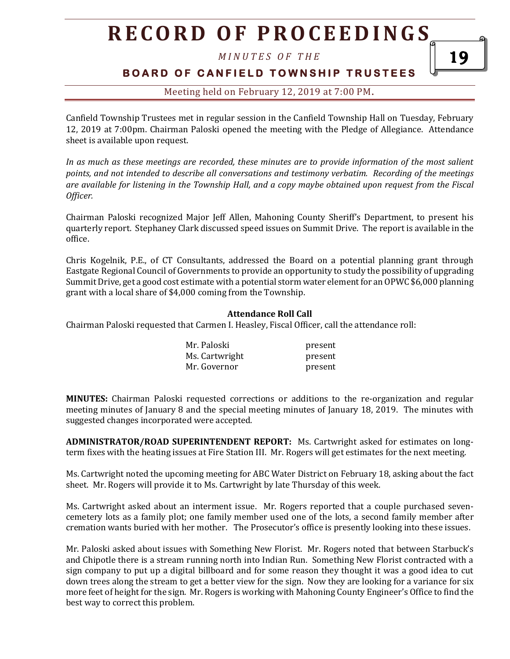*M I N U T E S O F T H E* 

### **BOARD OF CANFIELD TOWNSHIP TRUSTEES**

### Meeting held on February 12, 2019 at 7:00 PM**.**

Canfield Township Trustees met in regular session in the Canfield Township Hall on Tuesday, February 12, 2019 at 7:00pm. Chairman Paloski opened the meeting with the Pledge of Allegiance. Attendance sheet is available upon request.

*In as much as these meetings are recorded, these minutes are to provide information of the most salient points, and not intended to describe all conversations and testimony verbatim. Recording of the meetings are available for listening in the Township Hall, and a copy maybe obtained upon request from the Fiscal Officer.* 

Chairman Paloski recognized Major Jeff Allen, Mahoning County Sheriff's Department, to present his quarterly report. Stephaney Clark discussed speed issues on Summit Drive. The report is available in the office.

Chris Kogelnik, P.E., of CT Consultants, addressed the Board on a potential planning grant through Eastgate Regional Council of Governments to provide an opportunity to study the possibility of upgrading Summit Drive, get a good cost estimate with a potential storm water element for an OPWC \$6,000 planning grant with a local share of \$4,000 coming from the Township.

#### **Attendance Roll Call**

Chairman Paloski requested that Carmen I. Heasley, Fiscal Officer, call the attendance roll:

| Mr. Paloski    | present |
|----------------|---------|
| Ms. Cartwright | present |
| Mr. Governor   | present |

**MINUTES:** Chairman Paloski requested corrections or additions to the re-organization and regular meeting minutes of January 8 and the special meeting minutes of January 18, 2019. The minutes with suggested changes incorporated were accepted.

**ADMINISTRATOR/ROAD SUPERINTENDENT REPORT:** Ms. Cartwright asked for estimates on longterm fixes with the heating issues at Fire Station III. Mr. Rogers will get estimates for the next meeting.

Ms. Cartwright noted the upcoming meeting for ABC Water District on February 18, asking about the fact sheet. Mr. Rogers will provide it to Ms. Cartwright by late Thursday of this week.

Ms. Cartwright asked about an interment issue. Mr. Rogers reported that a couple purchased sevencemetery lots as a family plot; one family member used one of the lots, a second family member after cremation wants buried with her mother. The Prosecutor's office is presently looking into these issues.

Mr. Paloski asked about issues with Something New Florist. Mr. Rogers noted that between Starbuck's and Chipotle there is a stream running north into Indian Run. Something New Florist contracted with a sign company to put up a digital billboard and for some reason they thought it was a good idea to cut down trees along the stream to get a better view for the sign. Now they are looking for a variance for six more feet of height for the sign. Mr. Rogers is working with Mahoning County Engineer's Office to find the best way to correct this problem.

19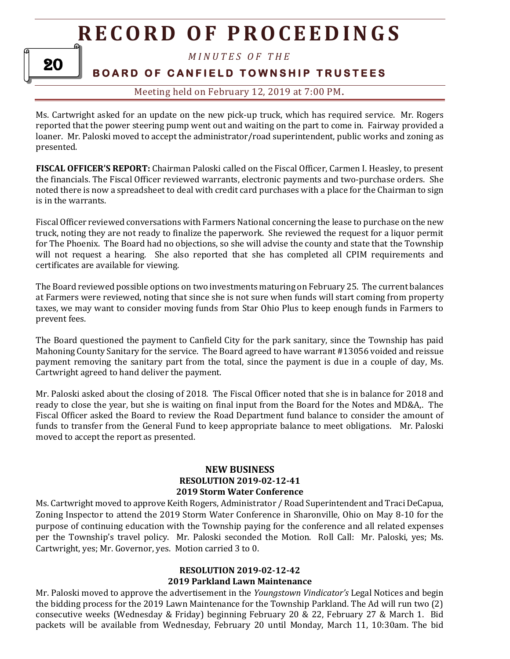

### *M I N U T E S O F T H E*

## **BOARD OF CANFIELD TOWNSHIP TRUSTEES**

#### Meeting held on February 12, 2019 at 7:00 PM**.**

Ms. Cartwright asked for an update on the new pick-up truck, which has required service. Mr. Rogers reported that the power steering pump went out and waiting on the part to come in. Fairway provided a loaner. Mr. Paloski moved to accept the administrator/road superintendent, public works and zoning as presented.

**FISCAL OFFICER'S REPORT:** Chairman Paloski called on the Fiscal Officer, Carmen I. Heasley, to present the financials. The Fiscal Officer reviewed warrants, electronic payments and two-purchase orders. She noted there is now a spreadsheet to deal with credit card purchases with a place for the Chairman to sign is in the warrants.

Fiscal Officer reviewed conversations with Farmers National concerning the lease to purchase on the new truck, noting they are not ready to finalize the paperwork. She reviewed the request for a liquor permit for The Phoenix. The Board had no objections, so she will advise the county and state that the Township will not request a hearing. She also reported that she has completed all CPIM requirements and certificates are available for viewing.

The Board reviewed possible options on two investments maturing on February 25. The current balances at Farmers were reviewed, noting that since she is not sure when funds will start coming from property taxes, we may want to consider moving funds from Star Ohio Plus to keep enough funds in Farmers to prevent fees.

The Board questioned the payment to Canfield City for the park sanitary, since the Township has paid Mahoning County Sanitary for the service. The Board agreed to have warrant #13056 voided and reissue payment removing the sanitary part from the total, since the payment is due in a couple of day, Ms. Cartwright agreed to hand deliver the payment.

Mr. Paloski asked about the closing of 2018. The Fiscal Officer noted that she is in balance for 2018 and ready to close the year, but she is waiting on final input from the Board for the Notes and MD&A,. The Fiscal Officer asked the Board to review the Road Department fund balance to consider the amount of funds to transfer from the General Fund to keep appropriate balance to meet obligations. Mr. Paloski moved to accept the report as presented.

#### **NEW BUSINESS RESOLUTION 2019-02-12-41 2019 Storm Water Conference**

Ms. Cartwright moved to approve Keith Rogers, Administrator / Road Superintendent and Traci DeCapua, Zoning Inspector to attend the 2019 Storm Water Conference in Sharonville, Ohio on May 8-10 for the purpose of continuing education with the Township paying for the conference and all related expenses per the Township's travel policy. Mr. Paloski seconded the Motion. Roll Call: Mr. Paloski, yes; Ms. Cartwright, yes; Mr. Governor, yes. Motion carried 3 to 0.

## **RESOLUTION 2019-02-12-42**

### **2019 Parkland Lawn Maintenance**

Mr. Paloski moved to approve the advertisement in the *Youngstown Vindicator's* Legal Notices and begin the bidding process for the 2019 Lawn Maintenance for the Township Parkland. The Ad will run two (2) consecutive weeks (Wednesday & Friday) beginning February 20 & 22, February 27 & March 1. Bid packets will be available from Wednesday, February 20 until Monday, March 11, 10:30am. The bid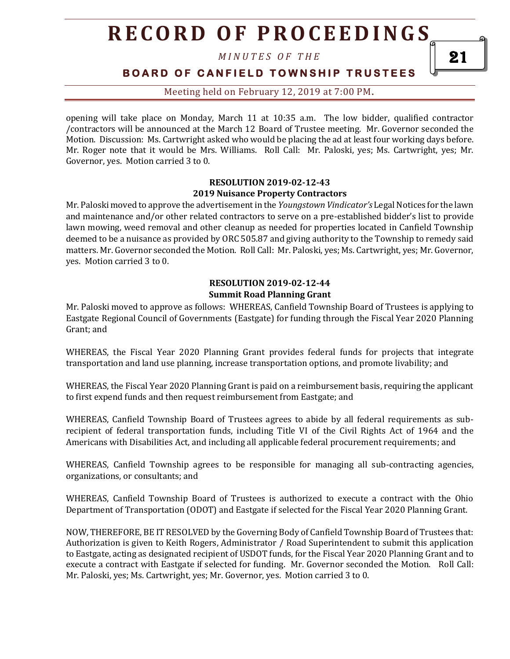*M I N U T E S O F T H E* 

**BOARD OF CANFIELD TOWNSHIP TRUSTEES** 

Meeting held on February 12, 2019 at 7:00 PM**.**

opening will take place on Monday, March 11 at 10:35 a.m. The low bidder, qualified contractor /contractors will be announced at the March 12 Board of Trustee meeting. Mr. Governor seconded the Motion. Discussion: Ms. Cartwright asked who would be placing the ad at least four working days before. Mr. Roger note that it would be Mrs. Williams. Roll Call: Mr. Paloski, yes; Ms. Cartwright, yes; Mr. Governor, yes. Motion carried 3 to 0.

#### **RESOLUTION 2019-02-12-43 2019 Nuisance Property Contractors**

Mr. Paloski moved to approve the advertisement in the *Youngstown Vindicator's* Legal Notices for the lawn and maintenance and/or other related contractors to serve on a pre-established bidder's list to provide lawn mowing, weed removal and other cleanup as needed for properties located in Canfield Township deemed to be a nuisance as provided by ORC 505.87 and giving authority to the Township to remedy said matters. Mr. Governor seconded the Motion. Roll Call: Mr. Paloski, yes; Ms. Cartwright, yes; Mr. Governor, yes. Motion carried 3 to 0.

#### **RESOLUTION 2019-02-12-44 Summit Road Planning Grant**

Mr. Paloski moved to approve as follows: WHEREAS, Canfield Township Board of Trustees is applying to Eastgate Regional Council of Governments (Eastgate) for funding through the Fiscal Year 2020 Planning Grant; and

WHEREAS, the Fiscal Year 2020 Planning Grant provides federal funds for projects that integrate transportation and land use planning, increase transportation options, and promote livability; and

WHEREAS, the Fiscal Year 2020 Planning Grant is paid on a reimbursement basis, requiring the applicant to first expend funds and then request reimbursement from Eastgate; and

WHEREAS, Canfield Township Board of Trustees agrees to abide by all federal requirements as subrecipient of federal transportation funds, including Title VI of the Civil Rights Act of 1964 and the Americans with Disabilities Act, and including all applicable federal procurement requirements; and

WHEREAS, Canfield Township agrees to be responsible for managing all sub-contracting agencies, organizations, or consultants; and

WHEREAS, Canfield Township Board of Trustees is authorized to execute a contract with the Ohio Department of Transportation (ODOT) and Eastgate if selected for the Fiscal Year 2020 Planning Grant.

NOW, THEREFORE, BE IT RESOLVED by the Governing Body of Canfield Township Board of Trustees that: Authorization is given to Keith Rogers, Administrator / Road Superintendent to submit this application to Eastgate, acting as designated recipient of USDOT funds, for the Fiscal Year 2020 Planning Grant and to execute a contract with Eastgate if selected for funding. Mr. Governor seconded the Motion. Roll Call: Mr. Paloski, yes; Ms. Cartwright, yes; Mr. Governor, yes. Motion carried 3 to 0.

21